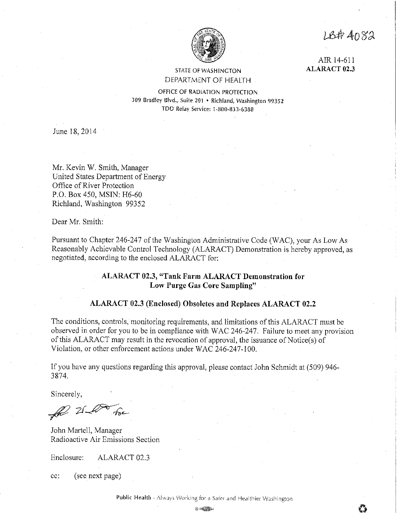LB# 4082



## STATE OF WASHINGTON DEPARTMENT OF HEALTH

AIR 14-611 **ALARACT 02.3** 

OFFICE OF RADIATION PROTECTION 309 Bradley Blvd., Suite 201 • Richland, Washington 99352 TDD Relay Service: 1-800-833-6388

June 18, 2014

Mr. Kevin W. Smith, Manager United States Department of Energy Office of River Protection P.O. Box 450, MSIN: H6-60 Richland, Washington 99352

Dear Mr. Smith:

Pursuant to Chapter 246-247 of the Washington Administrative Code (WAC), your As Low As Reasonably Achievable Control Technology (ALARACT) Demonstration is hereby approved, as negotiated, according to the enclosed ALARACT for:

## **ALARACT 02.3, "Tank Farm ALARACT Demonstration for Low Purge Gas Core Sampling"**

### **ALARACT\_02.3 (Enclosed) Obsoletes and Replaces ALARACT 02.2**

The conditions, controls, monitoring requirements, and limitations of this ALARACT must be observed in order for you to be in compliance with WAC 246-247. Failure to meet any provision of this ALARACT may result in the revocation of approval, the issuance of Notice(s) of Violation, or other enforcement actions under WAC 246-247-100.

If you have any questions regarding this approval, please contact John Schmidt at (509) 946- 3874.

Sincerely,

Fre - ZI -

John Martell, Manager Radioactive Air Emissions Section

Enclosure: ALARACT 02.3

cc: ( see next page)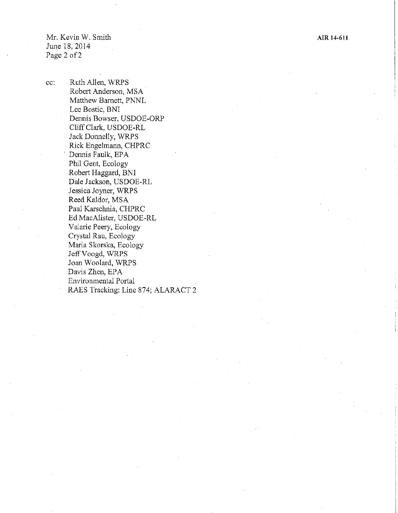**Aill 14-611** 

Mr. Kevin W. Smith June 18, 2014 Page 2 of 2

cc: Ruth Allen, WRPS Robert Anderson, MSA · Matthew Barnett, PNNL Lee Bostic, BNI Dennis Bowser, USDOE-ORP Cliff Clark, USDOE-RL Jack Donnelly, WRPS Rick Engelmann, CHPRC Dennis Faulk, EPA Phil Gent, Ecology Robert Haggard, BNI Dale Jackson, USDOE-RL Jessica Joyner, WRPS Reed Kaldor, MSA Paul Karschnia, CHPRC Ed MacA!ister, USDOE-RL Valarie Peery, Ecology Crystal Rau, Ecology Maria Skorska, Ecology JeffVoogd, WRPS Joan Woolard, WRPS Davis Zhen, EPA Environmental Portal RAES Tracking: Line 874; ALARACT 2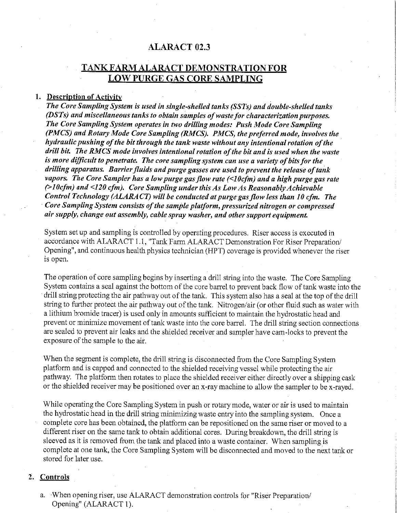# **ALARACT** 02.3

# **TANKFARMALARACT DEMONSTRATION FOR LOW PURGE GAS CORE SAMPLING**

## **1. Description of Activity**

*The Core Sampling System is used in single-shelled tanks (SSTs) and double-shelled tanks (DSTs) and miscellaneous tanks to obtain samples of waste for characterization purposes. The Core Sampling System operates in two drilling modes: Push Mode Core Sampling (PMCS) and Rotary Mode Core Sampling (RMCS). PMCS, the preferred mode, involves the hydraulic pushing of the bit through the tank waste without any intentional rotation of the drill bit. The RMCS mode involves intentional rotation of the bit and is used when the waste is more difficult to penetrate. The core sampling system can use a variety of bits for the drilling apparatus. Barrier fluids and purge gasses are used to prevent the release of tank vapors. The Core Sampler has a low purge gas flow rate (<10cfm) and a high purge gas rate (> I Ocfm) and <120 cfm). Core Sampling under this As Low As Reasonably Achievable Control Technology (ALARA CT) will be conducted at purge gas flow less than IO cfm. The*  · *Core Sampling System consists of the sample platform, pressurized nitrogen or compressed air supply, change out assembly, cable spray washer, and other support equipment.* 

System set up and sampling is controlled by operating procedures. Riser access is executed in accordance with ALARACT 1.1, "Tank Farm ALARACT Demonstration For Riser Preparation/ Opening", and continuous health physics technician (HPT) coverage is provided whenever the riser is open.

The operation of core sampling begins by inserting a drill string into the waste. The Core Sampling System contains a seal against the bottom of the core barrel to prevent back flow of tank waste into the drill string protecting the air pathway out of the tank. This system also has a seal at the top of the drill string to further protect the air pathway out of the tank. Nitrogen/air (or other fluid such as water with a lithium bromide tracer) is used only in amounts sufficient to maintain the hydrostatic head and prevent or minimize movement of tank waste into the core barrel. The drill string section connections are sealed to prevent air leaks and the shielded receiver and sampler have cam -locks to prevent the exposure of the sample to the air.

When the segment is complete, the drill string is disconnected from the Core Sampling System platform and is capped and connected to the shielded receiving vessel while protecting the air pathway. The platform then rotates to place the shielded receiver either directly over a shipping cask or the shielded receiver may be positioned over an x-ray machine to allow the sampler to be x-rayed.

While operating the Core Sampling System in push or rotary mode, water or air is used to maintain the hydrostatic head in the drill string minimizing waste entry into the sampling system. Once a complete core has been obtained, the platform can be repositioned on the same riser or moved to a different riser on the same tank to obtain additional cores. During breakdown, the drill string is sleeved as it is removed from the tank and placed into a waste container. When sampling is complete at one tank, the Core Sampling System will be disconnected and moved to the next tank or stored for later use.

### **2. Controls**

a. ·When opening riser, use ALARACT demonstration controls for "Riser Preparation/ Opening" (ALARACT I).